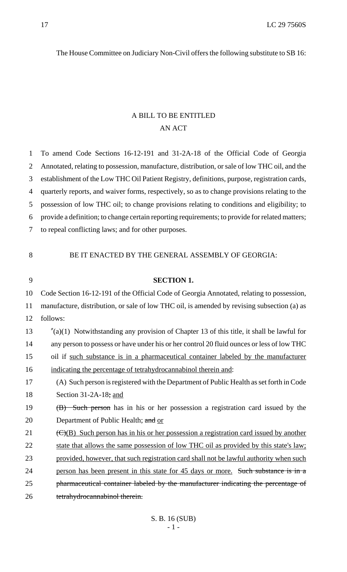The House Committee on Judiciary Non-Civil offers the following substitute to SB 16:

## A BILL TO BE ENTITLED AN ACT

 To amend Code Sections 16-12-191 and 31-2A-18 of the Official Code of Georgia Annotated, relating to possession, manufacture, distribution, or sale of low THC oil, and the establishment of the Low THC Oil Patient Registry, definitions, purpose, registration cards, quarterly reports, and waiver forms, respectively, so as to change provisions relating to the possession of low THC oil; to change provisions relating to conditions and eligibility; to provide a definition; to change certain reporting requirements; to provide for related matters; to repeal conflicting laws; and for other purposes. BE IT ENACTED BY THE GENERAL ASSEMBLY OF GEORGIA: **SECTION 1.** Code Section 16-12-191 of the Official Code of Georgia Annotated, relating to possession, manufacture, distribution, or sale of low THC oil, is amended by revising subsection (a) as follows: "(a)(1) Notwithstanding any provision of Chapter 13 of this title, it shall be lawful for 14 any person to possess or have under his or her control 20 fluid ounces or less of low THC oil if such substance is in a pharmaceutical container labeled by the manufacturer indicating the percentage of tetrahydrocannabinol therein and: (A) Such person is registered with the Department of Public Health as set forth in Code Section 31-2A-18; and 19 (B) Such person has in his or her possession a registration card issued by the 20 Department of Public Health; and or  $\left(\frac{C}{B}\right)$  Such person has in his or her possession a registration card issued by another 22 state that allows the same possession of low THC oil as provided by this state's law; provided, however, that such registration card shall not be lawful authority when such person has been present in this state for 45 days or more. Such substance is in a pharmaceutical container labeled by the manufacturer indicating the percentage of 26 tetrahydrocannabinol therein.

S. B. 16 (SUB) - 1 -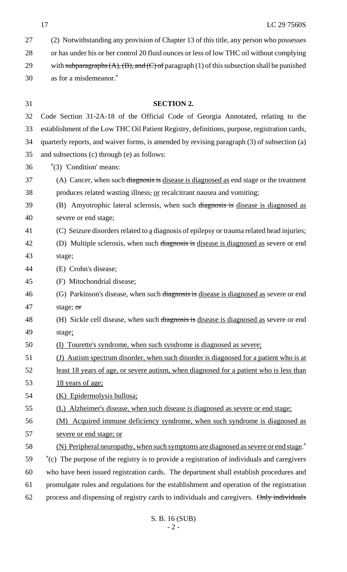| 27 | (2) Notwithstanding any provision of Chapter 13 of this title, any person who possesses              |
|----|------------------------------------------------------------------------------------------------------|
| 28 | or has under his or her control 20 fluid ounces or less of low THC oil without complying             |
| 29 | with subparagraphs $(A)$ , $(B)$ , and $(C)$ of paragraph (1) of this subsection shall be punished   |
| 30 | as for a misdemeanor."                                                                               |
|    |                                                                                                      |
| 31 | <b>SECTION 2.</b>                                                                                    |
| 32 | Code Section 31-2A-18 of the Official Code of Georgia Annotated, relating to the                     |
| 33 | establishment of the Low THC Oil Patient Registry, definitions, purpose, registration cards,         |
| 34 | quarterly reports, and waiver forms, is amended by revising paragraph (3) of subsection (a)          |
| 35 | and subsections (c) through (e) as follows:                                                          |
| 36 | $''(3)$ 'Condition' means:                                                                           |
| 37 | (A) Cancer, when such diagnosis is disease is diagnosed as end stage or the treatment                |
| 38 | produces related wasting illness, or recalcitrant nausea and vomiting;                               |
| 39 | (B) Amyotrophic lateral sclerosis, when such diagnosis is disease is diagnosed as                    |
| 40 | severe or end stage;                                                                                 |
| 41 | (C) Seizure disorders related to a diagnosis of epilepsy or trauma related head injuries;            |
| 42 | (D) Multiple sclerosis, when such diagnosis is disease is diagnosed as severe or end                 |
| 43 | stage;                                                                                               |
| 44 | (E) Crohn's disease;                                                                                 |
| 45 | (F) Mitochondrial disease;                                                                           |
| 46 | (G) Parkinson's disease, when such diagnosis is disease is diagnosed as severe or end                |
| 47 | stage; or                                                                                            |
| 48 | (H) Sickle cell disease, when such diagnosis is disease is diagnosed as severe or end                |
| 49 | stage;                                                                                               |
| 50 | Tourette's syndrome, when such syndrome is diagnosed as severe;<br>(I)                               |
| 51 | (J) Autism spectrum disorder, when such disorder is diagnosed for a patient who is at                |
| 52 | <u>least 18 years of age, or severe autism, when diagnosed for a patient who is less than</u>        |
| 53 | 18 years of age;                                                                                     |
| 54 | (K) Epidermolysis bullosa;                                                                           |
| 55 | (L) Alzheimer's disease, when such disease is diagnosed as severe or end stage;                      |
| 56 | (M) Acquired immune deficiency syndrome, when such syndrome is diagnosed as                          |
| 57 | severe or end stage; or                                                                              |
| 58 | (N) Peripheral neuropathy, when such symptoms are diagnosed as severe or end stage."                 |
| 59 | $\degree$ (c) The purpose of the registry is to provide a registration of individuals and caregivers |
| 60 | who have been issued registration cards. The department shall establish procedures and               |
| 61 | promulgate rules and regulations for the establishment and operation of the registration             |
| 62 | process and dispensing of registry cards to individuals and caregivers. Only individuals             |